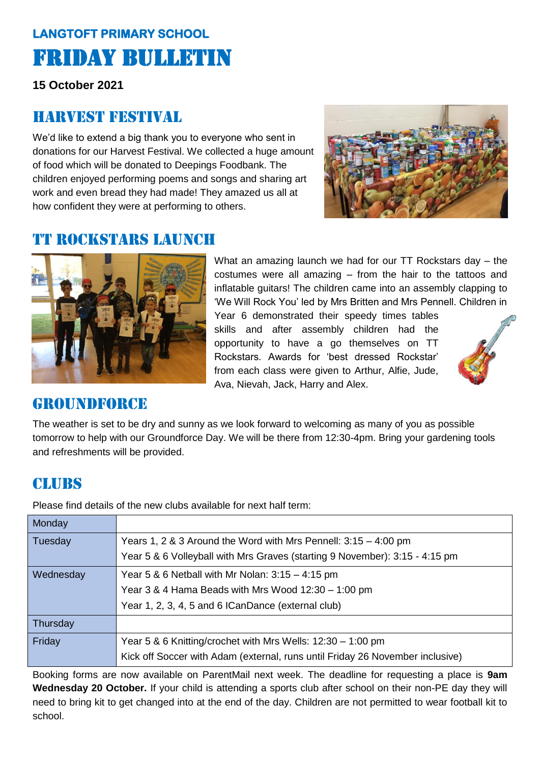## **LANGTOFT PRIMARY SCHOOL**  Friday Bulletin

**15 October 2021**

#### Harvest festival

We'd like to extend a big thank you to everyone who sent in donations for our Harvest Festival. We collected a huge amount of food which will be donated to Deepings Foodbank. The children enjoyed performing poems and songs and sharing art work and even bread they had made! They amazed us all at how confident they were at performing to others.



#### **TT ROCKSTARS LAUNCH**



What an amazing launch we had for our TT Rockstars day – the costumes were all amazing – from the hair to the tattoos and inflatable guitars! The children came into an assembly clapping to 'We Will Rock You' led by Mrs Britten and Mrs Pennell. Children in

Year 6 demonstrated their speedy times tables skills and after assembly children had the opportunity to have a go themselves on TT Rockstars. Awards for 'best dressed Rockstar' from each class were given to Arthur, Alfie, Jude, Ava, Nievah, Jack, Harry and Alex.



#### groundforcE

The weather is set to be dry and sunny as we look forward to welcoming as many of you as possible tomorrow to help with our Groundforce Day. We will be there from 12:30-4pm. Bring your gardening tools and refreshments will be provided.

#### **CLUBS**

Please find details of the new clubs available for next half term:

| Monday    |                                                                               |
|-----------|-------------------------------------------------------------------------------|
| Tuesday   | Years 1, 2 & 3 Around the Word with Mrs Pennell: $3:15 - 4:00$ pm             |
|           | Year 5 & 6 Volleyball with Mrs Graves (starting 9 November): 3:15 - 4:15 pm   |
| Wednesday | Year 5 & 6 Netball with Mr Nolan: $3:15 - 4:15$ pm                            |
|           | Year 3 & 4 Hama Beads with Mrs Wood 12:30 - 1:00 pm                           |
|           | Year 1, 2, 3, 4, 5 and 6 ICanDance (external club)                            |
| Thursday  |                                                                               |
| Friday    | Year 5 & 6 Knitting/crochet with Mrs Wells: 12:30 - 1:00 pm                   |
|           | Kick off Soccer with Adam (external, runs until Friday 26 November inclusive) |

Booking forms are now available on ParentMail next week. The deadline for requesting a place is **9am Wednesday 20 October.** If your child is attending a sports club after school on their non-PE day they will need to bring kit to get changed into at the end of the day. Children are not permitted to wear football kit to school.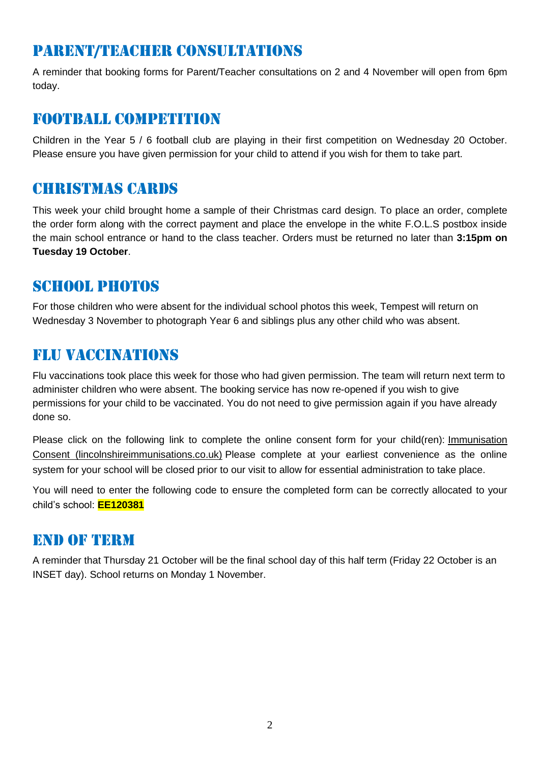### parent/teacher consultations

A reminder that booking forms for Parent/Teacher consultations on 2 and 4 November will open from 6pm today.

#### FOOTBALL COMPETITION

Children in the Year 5 / 6 football club are playing in their first competition on Wednesday 20 October. Please ensure you have given permission for your child to attend if you wish for them to take part.

#### Christmas cards

This week your child brought home a sample of their Christmas card design. To place an order, complete the order form along with the correct payment and place the envelope in the white F.O.L.S postbox inside the main school entrance or hand to the class teacher. Orders must be returned no later than **3:15pm on Tuesday 19 October**.

#### SCHOOL PHOTOS

For those children who were absent for the individual school photos this week, Tempest will return on Wednesday 3 November to photograph Year 6 and siblings plus any other child who was absent.

### Flu vaccinations

Flu vaccinations took place this week for those who had given permission. The team will return next term to administer children who were absent. The booking service has now re-opened if you wish to give permissions for your child to be vaccinated. You do not need to give permission again if you have already done so.

Please click on the following link to complete the online consent form for your child(ren): [Immunisation](https://www.lincolnshireimmunisations.co.uk/Forms/Flu)  [Consent \(lincolnshireimmunisations.co.uk\)](https://www.lincolnshireimmunisations.co.uk/Forms/Flu) Please complete at your earliest convenience as the online system for your school will be closed prior to our visit to allow for essential administration to take place.

You will need to enter the following code to ensure the completed form can be correctly allocated to your child's school: **EE120381**

#### End of term

A reminder that Thursday 21 October will be the final school day of this half term (Friday 22 October is an INSET day). School returns on Monday 1 November.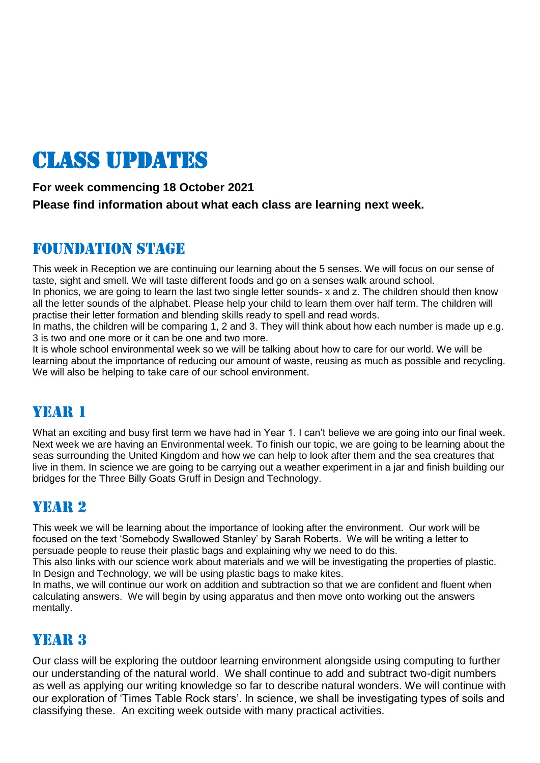# Class updates

#### **For week commencing 18 October 2021**

**Please find information about what each class are learning next week.** 

#### Foundation stage

This week in Reception we are continuing our learning about the 5 senses. We will focus on our sense of taste, sight and smell. We will taste different foods and go on a senses walk around school.

In phonics, we are going to learn the last two single letter sounds- x and z. The children should then know all the letter sounds of the alphabet. Please help your child to learn them over half term. The children will practise their letter formation and blending skills ready to spell and read words.

In maths, the children will be comparing 1, 2 and 3. They will think about how each number is made up e.g. 3 is two and one more or it can be one and two more.

It is whole school environmental week so we will be talking about how to care for our world. We will be learning about the importance of reducing our amount of waste, reusing as much as possible and recycling. We will also be helping to take care of our school environment.

#### YEAR 1

What an exciting and busy first term we have had in Year 1. I can't believe we are going into our final week. Next week we are having an Environmental week. To finish our topic, we are going to be learning about the seas surrounding the United Kingdom and how we can help to look after them and the sea creatures that live in them. In science we are going to be carrying out a weather experiment in a jar and finish building our bridges for the Three Billy Goats Gruff in Design and Technology.

#### YEAR 2

This week we will be learning about the importance of looking after the environment. Our work will be focused on the text 'Somebody Swallowed Stanley' by Sarah Roberts. We will be writing a letter to persuade people to reuse their plastic bags and explaining why we need to do this.

This also links with our science work about materials and we will be investigating the properties of plastic. In Design and Technology, we will be using plastic bags to make kites.

In maths, we will continue our work on addition and subtraction so that we are confident and fluent when calculating answers. We will begin by using apparatus and then move onto working out the answers mentally.

#### YEAR 3

Our class will be exploring the outdoor learning environment alongside using computing to further our understanding of the natural world. We shall continue to add and subtract two-digit numbers as well as applying our writing knowledge so far to describe natural wonders. We will continue with our exploration of 'Times Table Rock stars'. In science, we shall be investigating types of soils and classifying these. An exciting week outside with many practical activities.